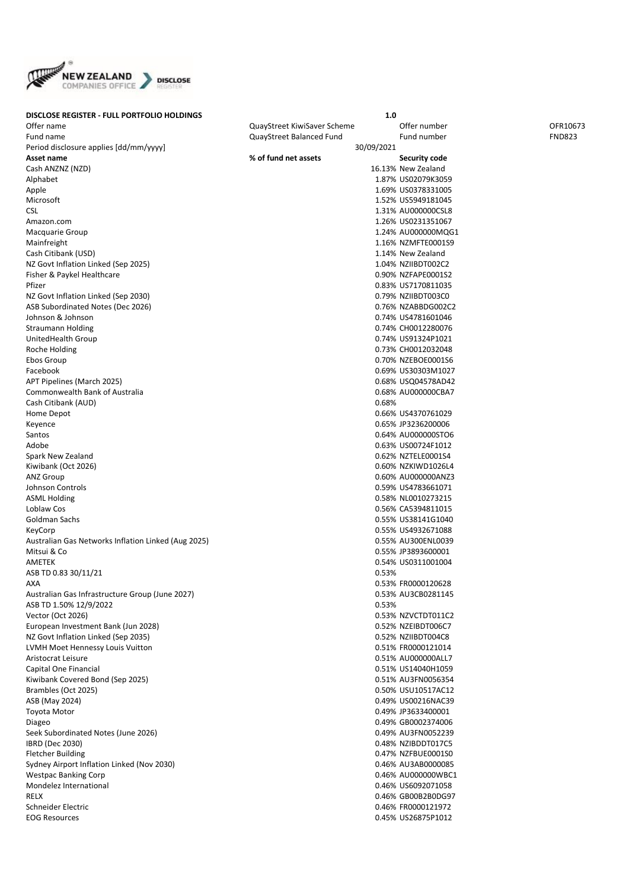

| <b>DISCLOSE REGISTER - FULL PORTFOLIO HOLDINGS</b>  |                             | 1.0                |               |
|-----------------------------------------------------|-----------------------------|--------------------|---------------|
| Offer name                                          | QuayStreet KiwiSaver Scheme | Offer number       | OFR10673      |
| Fund name                                           | QuayStreet Balanced Fund    | Fund number        | <b>FND823</b> |
| Period disclosure applies [dd/mm/yyyy]              | 30/09/2021                  |                    |               |
| Asset name                                          | % of fund net assets        | Security code      |               |
| Cash ANZNZ (NZD)                                    |                             | 16.13% New Zealand |               |
| Alphabet                                            |                             | 1.87% US02079K3059 |               |
| Apple                                               |                             | 1.69% US0378331005 |               |
| Microsoft                                           |                             | 1.52% US5949181045 |               |
| <b>CSL</b>                                          |                             | 1.31% AU000000CSL8 |               |
|                                                     |                             |                    |               |
| Amazon.com                                          |                             | 1.26% US0231351067 |               |
| Macquarie Group                                     |                             | 1.24% AU000000MQG1 |               |
| Mainfreight                                         |                             | 1.16% NZMFTE0001S9 |               |
| Cash Citibank (USD)                                 |                             | 1.14% New Zealand  |               |
| NZ Govt Inflation Linked (Sep 2025)                 |                             | 1.04% NZIIBDT002C2 |               |
| Fisher & Paykel Healthcare                          |                             | 0.90% NZFAPE0001S2 |               |
| Pfizer                                              |                             | 0.83% US7170811035 |               |
| NZ Govt Inflation Linked (Sep 2030)                 |                             | 0.79% NZIIBDT003C0 |               |
| ASB Subordinated Notes (Dec 2026)                   |                             | 0.76% NZABBDG002C2 |               |
| Johnson & Johnson                                   |                             | 0.74% US4781601046 |               |
| <b>Straumann Holding</b>                            |                             | 0.74% CH0012280076 |               |
| UnitedHealth Group                                  |                             | 0.74% US91324P1021 |               |
| Roche Holding                                       |                             | 0.73% CH0012032048 |               |
| Ebos Group                                          |                             | 0.70% NZEBOE0001S6 |               |
| Facebook                                            |                             | 0.69% US30303M1027 |               |
| APT Pipelines (March 2025)                          |                             | 0.68% USQ04578AD42 |               |
| Commonwealth Bank of Australia                      |                             | 0.68% AU000000CBA7 |               |
|                                                     | 0.68%                       |                    |               |
| Cash Citibank (AUD)                                 |                             |                    |               |
| Home Depot                                          |                             | 0.66% US4370761029 |               |
| Keyence                                             |                             | 0.65% JP3236200006 |               |
| Santos                                              |                             | 0.64% AU000000STO6 |               |
| Adobe                                               |                             | 0.63% US00724F1012 |               |
| Spark New Zealand                                   |                             | 0.62% NZTELE0001S4 |               |
| Kiwibank (Oct 2026)                                 |                             | 0.60% NZKIWD1026L4 |               |
| <b>ANZ Group</b>                                    |                             | 0.60% AU000000ANZ3 |               |
| Johnson Controls                                    |                             | 0.59% US4783661071 |               |
| <b>ASML Holding</b>                                 |                             | 0.58% NL0010273215 |               |
| Loblaw Cos                                          |                             | 0.56% CA5394811015 |               |
| Goldman Sachs                                       |                             | 0.55% US38141G1040 |               |
| KeyCorp                                             |                             | 0.55% US4932671088 |               |
| Australian Gas Networks Inflation Linked (Aug 2025) |                             | 0.55% AU300ENL0039 |               |
| Mitsui & Co                                         |                             | 0.55% JP3893600001 |               |
| AMETEK                                              |                             | 0.54% US0311001004 |               |
| ASB TD 0.83 30/11/21                                |                             | 0.53%              |               |
| AXA                                                 |                             | 0.53% FR0000120628 |               |
| Australian Gas Infrastructure Group (June 2027)     |                             | 0.53% AU3CB0281145 |               |
| ASB TD 1.50% 12/9/2022                              |                             | 0.53%              |               |
|                                                     |                             | 0.53% NZVCTDT011C2 |               |
| Vector (Oct 2026)                                   |                             |                    |               |
| European Investment Bank (Jun 2028)                 |                             | 0.52% NZEIBDT006C7 |               |
| NZ Govt Inflation Linked (Sep 2035)                 |                             | 0.52% NZIIBDT004C8 |               |
| LVMH Moet Hennessy Louis Vuitton                    |                             | 0.51% FR0000121014 |               |
| Aristocrat Leisure                                  |                             | 0.51% AU000000ALL7 |               |
| Capital One Financial                               |                             | 0.51% US14040H1059 |               |
| Kiwibank Covered Bond (Sep 2025)                    |                             | 0.51% AU3FN0056354 |               |
| Brambles (Oct 2025)                                 |                             | 0.50% USU10517AC12 |               |
| ASB (May 2024)                                      |                             | 0.49% US00216NAC39 |               |
| <b>Toyota Motor</b>                                 |                             | 0.49% JP3633400001 |               |
| Diageo                                              |                             | 0.49% GB0002374006 |               |
| Seek Subordinated Notes (June 2026)                 |                             | 0.49% AU3FN0052239 |               |
| IBRD (Dec 2030)                                     |                             | 0.48% NZIBDDT017C5 |               |
| <b>Fletcher Building</b>                            |                             | 0.47% NZFBUE0001S0 |               |
| Sydney Airport Inflation Linked (Nov 2030)          |                             | 0.46% AU3AB0000085 |               |
| <b>Westpac Banking Corp</b>                         |                             | 0.46% AU000000WBC1 |               |
| Mondelez International                              |                             | 0.46% US6092071058 |               |
| <b>RELX</b>                                         |                             | 0.46% GB00B2B0DG97 |               |
|                                                     |                             |                    |               |
| Schneider Electric                                  |                             | 0.46% FR0000121972 |               |
| <b>EOG Resources</b>                                |                             | 0.45% US26875P1012 |               |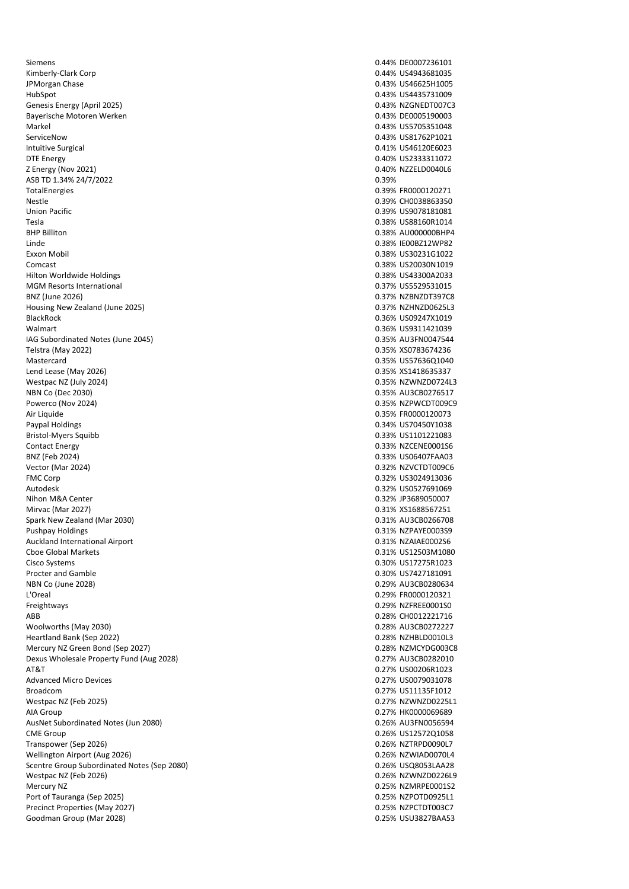Siemens 0.44% DE0007236101 Kimberly-Clark Corp 2012 12:00 12:00 12:00 12:00 12:00 12:00 12:00 12:00 12:00 12:00 12:00 12:00 12:00 12:00 1 JPMorgan Chase 2012 12:00 12:00 12:00 12:00 12:00 12:00 12:00 12:00 13:00 13:00 13:00 13:00 13:00 13:00 13:00 13:00 13:00 13:00 13:00 13:00 13:00 13:00 13:00 13:00 13:00 13:00 13:00 13:00 13:00 13:00 13:00 13:00 13:00 13:0 HubSpot 0.43% US4435731009 Genesis Energy (April 2025) **DETERTIES IN A SECOND CONSUMING THE CONSUMING OF A SECOND CONSUMING THE CONSUMING ORDER** Bayerische Motoren Werken 0.43% DE0005190003 Markel 0.43% US5705351048 ServiceNow 0.43% US81762P1021 Intuitive Surgical 0.41% US46120E6023 DTE Energy 0.40% US2333311072 Z Energy (Nov 2021) 0.40% NZZELD0040L6 ASB TD 1.34% 24/7/2022 0.39% TotalEnergies 0.39% FR0000120271 Nestle 0.39% CH0038863350 Union Pacific 0.39% US9078181081 Tesla 0.38% US88160R1014 BHP Billiton 0.38% AU000000BHP4 Linde 0.38% IE00BZ12WP82 Exxon Mobil 0.38% US30231G1022 Comcast 0.38% US20030N1019 Hilton Worldwide Holdings 0.38% US43300A2033 MGM Resorts International 0.37% US5529531015 BNZ (June 2026) 88 (June 2026) 88 (June 2026) 88 (June 2026) 88 (June 2026) 88 (June 2026) 88 (June 2026) 88 (June 2026) 88 (June 2026) 88 (June 2026) 88 (June 2026) 88 (June 2026) 88 (June 2026) 88 (June 2026) 88 (June 20 Housing New Zealand (June 2025) **0.37% N2HNZD0625L3** BlackRock 0.36% US09247X1019 Walmart 0.36% US9311421039 IAG Subordinated Notes (June 2045) 0.35% AU3FN0047544 Telstra (May 2022) 0.35% XS0783674236 Mastercard 0.35% US57636Q1040 Lend Lease (May 2026) 0.35% XS1418635337 Westpac NZ (July 2024) 0.35% NZWNZD0724L3 NBN Co (Dec 2030) 0.35% AU3CB0276517 Powerco (Nov 2024) 2008 12:00 0.35% NZPWCDT009C9 Air Liquide **0.35% FR0000120073** Paypal Holdings 0.34% US70450Y1038 Bristol-Myers Squibb 0.33% US1101221083 Contact Energy 0.33% NZCENE0001S6 BNZ (Feb 2024) 0.33% US06407FAA03 Vector (Mar 2024) 0.32% NZVCTDT009C6 Autodesk 0.32% US0527691069 Nihon M&A Center 0.32% JP3689050007 Mirvac (Mar 2027) 0.31% XS1688567251 Spark New Zealand (Mar 2030) 0.31% AU3CB0266708 Pushpay Holdings 0.31% NZPAYE0003S9 Auckland International Airport 0.31% NZAIAE0002S6 Cboe Global Markets 0.31% US12503M1080 Cisco Systems 0.30% US17275R1023 Procter and Gamble 2028)<br>NBN Co (June 2028) 2013 2014 12:00 12:00 13:00 13:00 13:00 13:00 13:00 13:00 13:00 13:00 13:00 13:00 13:00 13:0<br>0.29% AU3CB0280634 L'Oreal 0.29% FR0000120321 Freightways 0.29% NZFREE0001S0 ABB 0.28% CH0012221716 Woolworths (May 2030) 0.28% AU3CB0272227 Heartland Bank (Sep 2022) 0.28% NZHBLD0010L3 Mercury NZ Green Bond (Sep 2027) 0.28% NZMCYDG003C8 Dexus Wholesale Property Fund (Aug 2028) 0.27% AU3CB0282010 AT&T 0.27% US00206R1023 Advanced Micro Devices and the control of the control of the control of the control of the control of the control of the control of the control of the control of the control of the control of the control of the control of Broadcom **0.27% US11135F1012** Westpac NZ (Feb 2025) 0.27% NZWNZD0225L1 AIA Group 0.27% HK0000069689 AusNet Subordinated Notes (Jun 2080) 0.26% AU3FN0056594 CME Group 0.26% US12572Q1058 Transpower (Sep 2026) **0.26% N2TRPD0090L7** Wellington Airport (Aug 2026) 0.26% NZWIAD0070L4 Scentre Group Subordinated Notes (Sep 2080) 0.26% USQ8053LAA28 Westpac NZ (Feb 2026) 0.26% NZWNZD0226L9 Mercury NZ 0.25% NZMRPE0001S2 Port of Tauranga (Sep 2025) 0.25% NZPOTD0925L1 Precinct Properties (May 2027) 2022 12:35 129 UNITED 1003C7 Goodman Group (Mar 2028) 0.25% USU3827BAA53

0.32% US3024913036 0.29% AU3CB0280634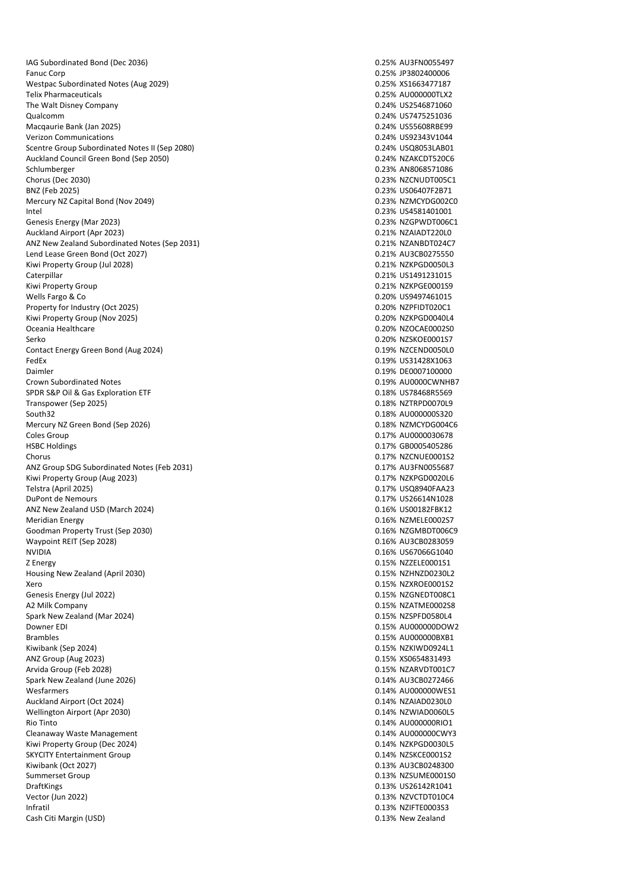IAG Subordinated Bond (Dec 2036) 0.25% AU3FN0055497 Fanuc Corp 0.25% JP3802400006 Westpac Subordinated Notes (Aug 2029) 0.25% XS1663477187 Telix Pharmaceuticals 0.25% AU000000TLX2 The Walt Disney Company **Districts** Company **1.1 Company** 2.24% US2546871060 Qualcomm 0.24% US7475251036 Macqaurie Bank (Jan 2025) **0.24% US55608RBE99** Verizon Communications 0.24% US92343V1044 Scentre Group Subordinated Notes II (Sep 2080) 0.24% USQ8053LAB01 Auckland Council Green Bond (Sep 2050) 0.24% NZAKCDT520C6 Schlumberger 0.23% AN8068571086 Chorus (Dec 2030) 0.23% NZCNUDT005C1 Mercury NZ Capital Bond (Nov 2049) 0.23% NZMCYDG002C0 Intel 0.23% US4581401001 Genesis Energy (Mar 2023) **Details and COVID-ENERGY COVID-ENERGY COVID-ENERGY COVID-ENERGY COVID-ENERGY COVID-**Auckland Airport (Apr 2023) 0.21% NZAIADT220L0 ANZ New Zealand Subordinated Notes (Sep 2031) 0.21% NZANBDT024C7 Lend Lease Green Bond (Oct 2027) **0.21% AU3CB0275550** Kiwi Property Group (Jul 2028) 2008 0.21% NZKPGD0050L3 Caterpillar 0.21% US1491231015 Kiwi Property Group 2008 2012 2020 2020 2020 2030 2030 2040 2040 2050 2050 2050 2050 2050 2060 2071 2080 2091 20 Wells Fargo & Co 0.20% US9497461015 Property for Industry (Oct 2025) **Department of the COVID-1000C1 0.20% NZPFIDT020C1** Kiwi Property Group (Nov 2025) 0.20% NZKPGD0040L4 Serko 0.20% NZSKOE0001S7 Contact Energy Green Bond (Aug 2024) 0.19% NZCEND0050L0 FedEx 0.19% US31428X1063 Daimler 0.19% DE0007100000 Crown Subordinated Notes 0.19% AU0000CWNHB7 SPDR S&P Oil & Gas Exploration ETF 0.18% US78468R5569 Transpower (Sep 2025) 0.18% NZTRPD0070L9 South32 0.18% AU000000S320 Mercury NZ Green Bond (Sep 2026) Coles Group 0.17% AU0000030678 Chorus 0.17% NZCNUE0001S2 ANZ Group SDG Subordinated Notes (Feb 2031) 0.17% AU3FN0055687 Kiwi Property Group (Aug 2023) Telstra (April 2025) 0.17% USQ8940FAA23 DuPont de Nemours 0.17% US26614N1028 ANZ New Zealand USD (March 2024) 2001 12:30 12:30 12:30 12:30 12:30 12:30 12:30 12:30 12:30 12:30 12:30 12:30 1 Meridian Energy **2.16% N2MELE0002S7 Meridian Energy 0.16% N2MELE0002S7** Goodman Property Trust (Sep 2030) 0.16% NZGMBDT006C9 Waypoint REIT (Sep 2028) 0.16% AU3CB0283059 Z Energy 0.15% NZZELE0001S1 Housing New Zealand (April 2030) 0.15% NZHNZD0230L2 Xero 0.15% NZXROE0001S2 Genesis Energy (Jul 2022) 2003 2009 0.15% NZGNEDT008C1 A2 Milk Company 0.15% NZATME0002S8 Spark New Zealand (Mar 2024) Downer EDI 0.15% AU00000DOW2 Brambles 0.15% AU000000BXB1 Kiwibank (Sep 2024) **0.15% N2KIWD0924L1** ANZ Group (Aug 2023) 0.15% XS0654831493 Arvida Group (Feb 2028) 2008 - 2012 12:30 0.15% NZARVDT001C7 Spark New Zealand (June 2026) 0.14% AU3CB0272466 Wesfarmers 0.14% AU000000WES1 Auckland Airport (Oct 2024) 0.14% NZAIAD0230L0 Wellington Airport (Apr 2030) Rio Tinto (a. 14% AU000000RIO1)<br>Cleanaway Waste Management (a. 14% AU000000RIO1)<br>Cleanaway Waste Management Cleanaway Waste Management<br>
Kiwi Property Group (Dec 2024)<br>
O.14% NZKPGD0030L5 Kiwi Property Group (Dec 2024) SKYCITY Entertainment Group 0.14% NZSKCE0001S2 Kiwibank (Oct 2027) 0.13% AU3CB0248300 Summerset Group 0.13% NZSUME0001S0 DraftKings 0.13% US26142R1041 Vector (Jun 2022) 0.13% NZVCTDT010C4 Infratil 0.13% NZIFTE0003S3 Cash Citi Margin (USD) 0.13% New Zealand

0.23% US06407F2B71 0.20% NZOCAE0002S0 0.17% GB0005405286 NVIDIA 0.16% US67066G1040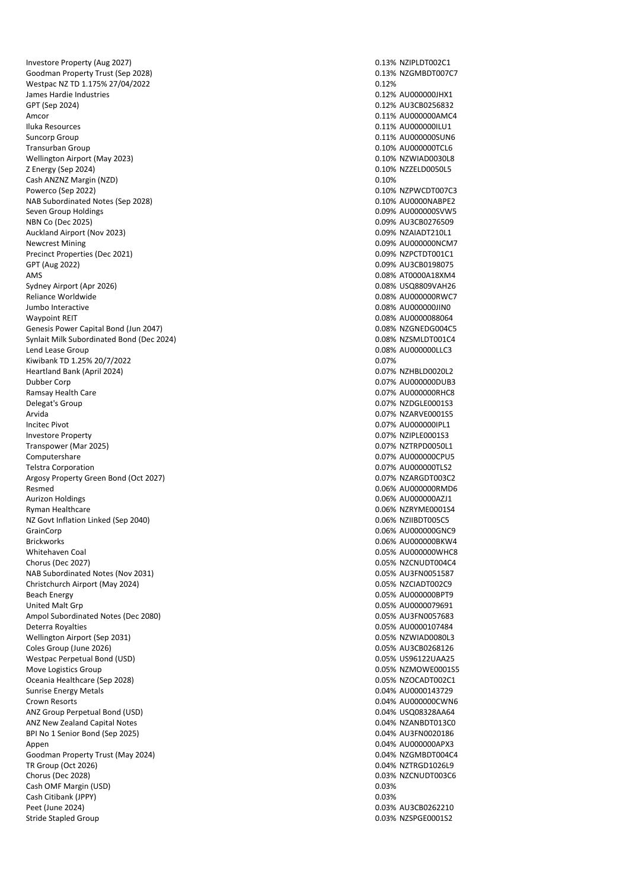Investore Property (Aug 2027) and the Contract of the Contract of the Contract of the Contract of the Contract of the Contract of the Contract of the Contract of the Contract of the Contract of the Contract of the Contract Goodman Property Trust (Sep 2028) and the control of the control of the control of the control of the control of the control of the control of the control of the control of the control of the control of the control of the Westpac NZ TD 1.175% 27/04/2022 0.12% 0.12% James Hardie Industries 0.12% AU000000JHX1 GPT (Sep 2024) 2024) 2023 0.12% AU3CB0256832 Amcor 0.11% AU000000AMC4 Iluka Resources 0.11% AU000000ILU1 Suncorp Group 6.11% AU000000SUN6 Transurban Group 0.10% AU000000TCL6 Wellington Airport (May 2023) Z Energy (Sep 2024) 0.10% NZZELD0050L5 Cash ANZNZ Margin (NZD) 0.10% Powerco (Sep 2022) 0.10% NZPWCDT007C3 NAB Subordinated Notes (Sep 2028) 0.10% AU0000NABPE2 Seven Group Holdings and Seven Group Holdings and Seven Group Holdings and Seven Group Holdings and Seven Group Holdings and Seven Group Holdings and Seven Group Holdings and Seven Group Holdings and Seven Group Holdings a NBN Co (Dec 2025) 0.09% AU3CB0276509 Auckland Airport (Nov 2023) **0.09% NZAIADT210L1** Newcrest Mining **Newcrest Mining** 2.09% AU00000000 NCM7 Precinct Properties (Dec 2021) 2009 0.09% NZPCTDT001C1 GPT (Aug 2022) 0.09% AU3CB0198075 AMS 0.08% AT0000A18XM4 Sydney Airport (Apr 2026) 0.08% USQ8809VAH26 Reliance Worldwide 2.08% AU000000RWC7 2.08% AU000000RWC7 Jumbo Interactive 0.08% AU000000JIN0 Waypoint REIT<br>Genesis Power Capital Bond (Jun 2047) <br>Genesis Power Capital Bond (Jun 2047) <br>G.O.8% NZGNEDG004C5 Genesis Power Capital Bond (Jun 2047) Synlait Milk Subordinated Bond (Dec 2024) 0.08% NZSMLDT001C4 Lend Lease Group 2008 AU000000LLC3 Kiwibank TD 1.25% 20/7/2022 0.07% 0.07% 0.07% 0.07% 0.07% 0.07% 0.07% 0.07% 0.07% 0.07% 0.07% 0.07% 0.07% 0.07% Heartland Bank (April 2024) **DEALLY ACCOMPTED 10.07% NOTE** Dubber Corp 0.07% AU000000DUB3 Ramsay Health Care 2012 12:00 12:00 12:00 12:00 12:00 12:00 12:00 12:00 12:00 12:00 12:00 12:00 12:00 12:00 12:00 12:00 12:00 12:00 12:00 12:00 12:00 12:00 12:00 12:00 12:00 12:00 12:00 12:00 12:00 12:00 12:00 12:00 12:00 Delegat's Group 0.07% NZDGLE000153 Arvida 0.07% NZARVE0001S5 Investore Property 0.07% NZIPLE0001S3 Transpower (Mar 2025) 0.07% NZTRPD0050L1 Computershare 2012 2013 2014 12:30 12:30 12:30 12:30 12:30 12:30 12:30 12:30 12:30 12:30 12:30 12:30 12:30 12:30 12:30 12:30 12:30 12:30 12:30 12:30 12:30 12:30 12:30 12:30 12:30 12:30 12:30 12:30 12:30 12:30 12:30 12:30 1 Telstra Corporation 0.07% AU000000TLS2 Argosy Property Green Bond (Oct 2027) Resmed 0.06% AU000000RMD6 Aurizon Holdings 0.06% AU000000AZJ1 Ryman Healthcare 0.06% NZRYME0001S4 NZ Govt Inflation Linked (Sep 2040) 0.06% NZIIBDT005C5 GrainCorp 0.06% AU000000GNC9 Brickworks 0.06% AU000000BKW4 Whitehaven Coal 2008 AU000000 UNITED AVEC 2008 AU00000 UNITED ASSAULTED AT A CONTRACT ON A CONTRACT ON A CONTRACT ON A CONTRACT ON A CONTRACT ON A CONTRACT ON A CONTRACT ON A CONTRACT ON A CONTRACT ON A CONTRACT ON A CONTR Chorus (Dec 2027) 0.05% N2CNUDT004C4 NAB Subordinated Notes (Nov 2031) 0.05% AU3FN0051587 Christchurch Airport (May 2024) 0.05% NZCIADT002C9 Beach Energy 0.05% AU000000BPT9 United Malt Grp 0.05% AU0000079691<br>Ampol Subordinated Notes (Dec 2080) 2008 2009 2012 2021 2022 2030 2040 205% AU3FN0057683 Ampol Subordinated Notes (Dec 2080) Deterra Royalties 0.05% AU0000107484 Wellington Airport (Sep 2031) 2013 12:00 12:00 12:00 12:00 12:00 12:00 12:00 12:00 12:00 12:00 12:00 12:00 12:00 12:00 12:00 12:00 12:00 12:00 12:00 12:00 12:00 12:00 12:00 12:00 12:00 12:00 12:00 12:00 12:00 12:00 12:00 1 Coles Group (June 2026) **0.05% AU3CB0268126** Westpac Perpetual Bond (USD) and the contract of the contract of the contract of the contract of the contract of the contract of the contract of the contract of the contract of the contract of the contract of the contract Move Logistics Group 0.05% NZMOWE000155 Oceania Healthcare (Sep 2028) 0.05% NZOCADT002C1 Sunrise Energy Metals 0.04% AU0000143729 Crown Resorts 0.04% AU000000CWN6 ANZ Group Perpetual Bond (USD) ANZ New Zealand Capital Notes 0.04% NZANBDT013C0 BPI No 1 Senior Bond (Sep 2025) 0.04% AU3FN0020186 Appen 0.04% AU000000APX3 Goodman Property Trust (May 2024) 0.04% NZGMBDT004C4 TR Group (Oct 2026) 0.04% NZTRGD1026L9 Chorus (Dec 2028) 0.03% NZCNUDT003C6 Cash OMF Margin (USD) 0.03% Cash Citibank (JPPY) 0.03% Peet (June 2024) 0.03% AU3CB0262210 Stride Stapled Group 0.03% NZSPGE0001S2

0.07% AU000000IPL1